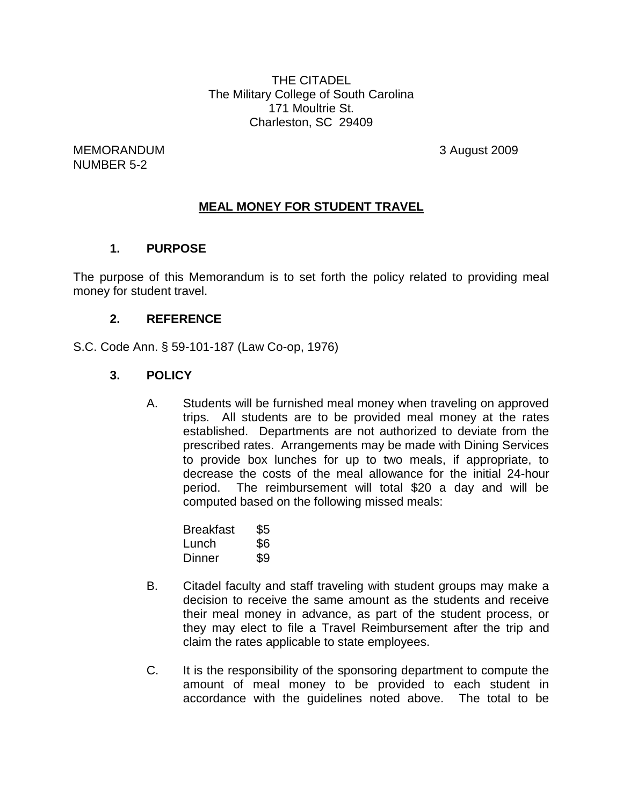THE CITADEL The Military College of South Carolina 171 Moultrie St. Charleston, SC 29409

MEMORANDUM 3 August 2009 NUMBER 5-2

#### **MEAL MONEY FOR STUDENT TRAVEL**

#### **1. PURPOSE**

The purpose of this Memorandum is to set forth the policy related to providing meal money for student travel.

#### **2. REFERENCE**

S.C. Code Ann. § 59-101-187 (Law Co-op, 1976)

#### **3. POLICY**

A. Students will be furnished meal money when traveling on approved trips. All students are to be provided meal money at the rates established. Departments are not authorized to deviate from the prescribed rates. Arrangements may be made with Dining Services to provide box lunches for up to two meals, if appropriate, to decrease the costs of the meal allowance for the initial 24-hour period. The reimbursement will total \$20 a day and will be computed based on the following missed meals:

| Breakfast | \$5 |
|-----------|-----|
| Lunch     | \$6 |
| Dinner    | \$9 |

- B. Citadel faculty and staff traveling with student groups may make a decision to receive the same amount as the students and receive their meal money in advance, as part of the student process, or they may elect to file a Travel Reimbursement after the trip and claim the rates applicable to state employees.
- C. It is the responsibility of the sponsoring department to compute the amount of meal money to be provided to each student in accordance with the guidelines noted above. The total to be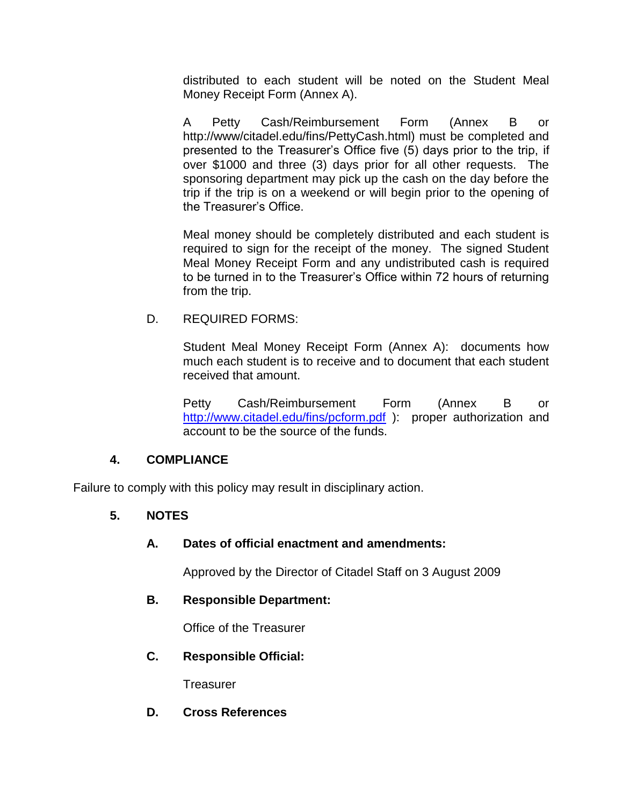distributed to each student will be noted on the Student Meal Money Receipt Form (Annex A).

A Petty Cash/Reimbursement Form (Annex B or http://www/citadel.edu/fins/PettyCash.html) must be completed and presented to the Treasurer's Office five (5) days prior to the trip, if over \$1000 and three (3) days prior for all other requests. The sponsoring department may pick up the cash on the day before the trip if the trip is on a weekend or will begin prior to the opening of the Treasurer's Office.

Meal money should be completely distributed and each student is required to sign for the receipt of the money. The signed Student Meal Money Receipt Form and any undistributed cash is required to be turned in to the Treasurer's Office within 72 hours of returning from the trip.

#### D. REQUIRED FORMS:

Student Meal Money Receipt Form (Annex A): documents how much each student is to receive and to document that each student received that amount.

Petty Cash/Reimbursement Form (Annex B or <http://www.citadel.edu/fins/pcform.pdf> ): proper authorization and account to be the source of the funds.

## **4. COMPLIANCE**

Failure to comply with this policy may result in disciplinary action.

## **5. NOTES**

## **A. Dates of official enactment and amendments:**

Approved by the Director of Citadel Staff on 3 August 2009

## **B. Responsible Department:**

Office of the Treasurer

#### **C. Responsible Official:**

Treasurer

## **D. Cross References**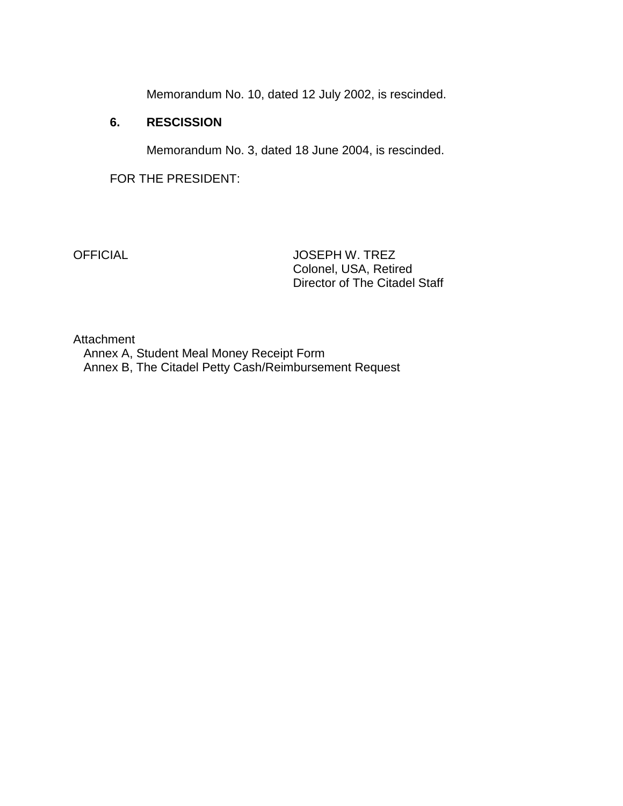Memorandum No. 10, dated 12 July 2002, is rescinded.

#### **6. RESCISSION**

Memorandum No. 3, dated 18 June 2004, is rescinded.

FOR THE PRESIDENT:

OFFICIAL JOSEPH W. TREZ Colonel, USA, Retired Director of The Citadel Staff

Attachment

 Annex A, Student Meal Money Receipt Form Annex B, The Citadel Petty Cash/Reimbursement Request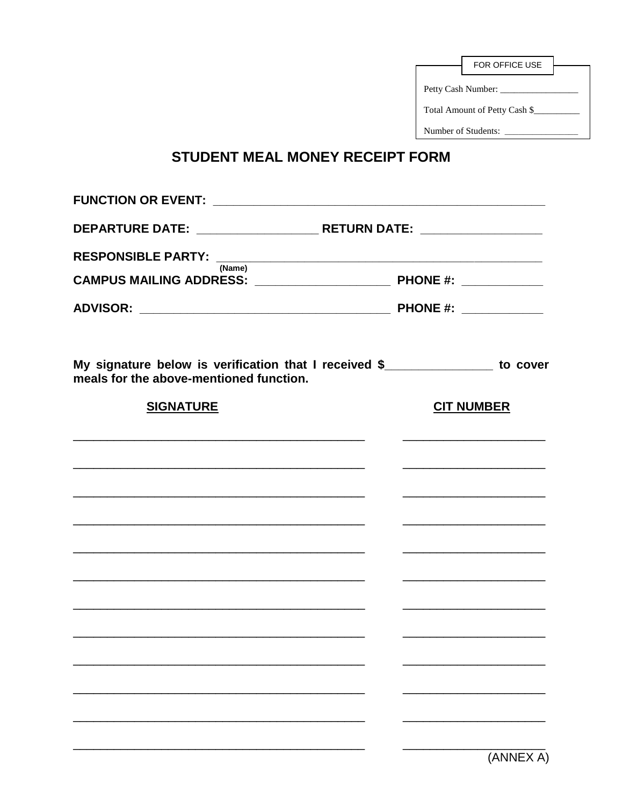| FOR OFFICE USE                |  |  |
|-------------------------------|--|--|
| Petty Cash Number: ____       |  |  |
| Total Amount of Petty Cash \$ |  |  |
| Number of Students:           |  |  |

# STUDENT MEAL MONEY RECEIPT FORM

| RESPONSIBLE PARTY: <u>(Name)</u>                                                                 |                   |  |
|--------------------------------------------------------------------------------------------------|-------------------|--|
|                                                                                                  |                   |  |
|                                                                                                  |                   |  |
| My signature below is verification that I received \$<br>meals for the above-mentioned function. |                   |  |
| <b>SIGNATURE</b>                                                                                 | <b>CIT NUMBER</b> |  |
| <u> 1989 - Johann Stoff, amerikansk politiker (d. 1989)</u>                                      |                   |  |
|                                                                                                  |                   |  |
|                                                                                                  |                   |  |
|                                                                                                  |                   |  |
|                                                                                                  |                   |  |
|                                                                                                  |                   |  |
|                                                                                                  |                   |  |
|                                                                                                  |                   |  |
|                                                                                                  |                   |  |
|                                                                                                  |                   |  |
|                                                                                                  |                   |  |